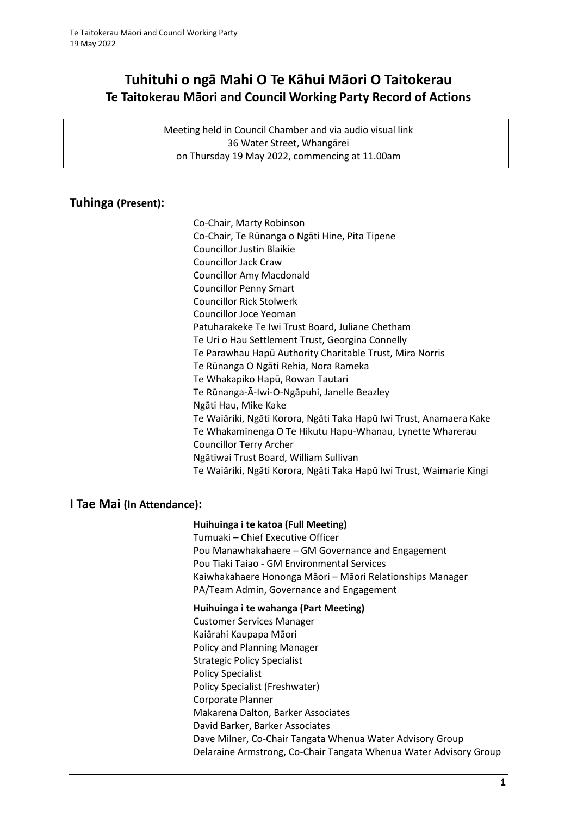# **Tuhituhi o ngā Mahi O Te Kāhui Māori O Taitokerau Te Taitokerau Māori and Council Working Party Record of Actions**

Meeting held in Council Chamber and via audio visual link 36 Water Street, Whangārei on Thursday 19 May 2022, commencing at 11.00am

### **Tuhinga (Present):**

Co-Chair, Marty Robinson Co-Chair, Te Rūnanga o Ngāti Hine, Pita Tipene Councillor Justin Blaikie Councillor Jack Craw Councillor Amy Macdonald Councillor Penny Smart Councillor Rick Stolwerk Councillor Joce Yeoman Patuharakeke Te Iwi Trust Board, Juliane Chetham Te Uri o Hau Settlement Trust, Georgina Connelly Te Parawhau Hapū Authority Charitable Trust, Mira Norris Te Rūnanga O Ngāti Rehia, Nora Rameka Te Whakapiko Hapū, Rowan Tautari Te Rūnanga-Ā-Iwi-O-Ngāpuhi, Janelle Beazley Ngāti Hau, Mike Kake Te Waiāriki, Ngāti Korora, Ngāti Taka Hapū Iwi Trust, Anamaera Kake Te Whakaminenga O Te Hikutu Hapu-Whanau, Lynette Wharerau Councillor Terry Archer Ngātiwai Trust Board, William Sullivan Te Waiāriki, Ngāti Korora, Ngāti Taka Hapū Iwi Trust, Waimarie Kingi

### **I Tae Mai (In Attendance):**

### **Huihuinga i te katoa (Full Meeting)**

Tumuaki – Chief Executive Officer Pou Manawhakahaere – GM Governance and Engagement Pou Tiaki Taiao - GM Environmental Services Kaiwhakahaere Hononga Māori – Māori Relationships Manager PA/Team Admin, Governance and Engagement

#### **Huihuinga i te wahanga (Part Meeting)**

Customer Services Manager Kaiārahi Kaupapa Māori Policy and Planning Manager Strategic Policy Specialist Policy Specialist Policy Specialist (Freshwater) Corporate Planner Makarena Dalton, Barker Associates David Barker, Barker Associates Dave Milner, Co-Chair Tangata Whenua Water Advisory Group Delaraine Armstrong, Co-Chair Tangata Whenua Water Advisory Group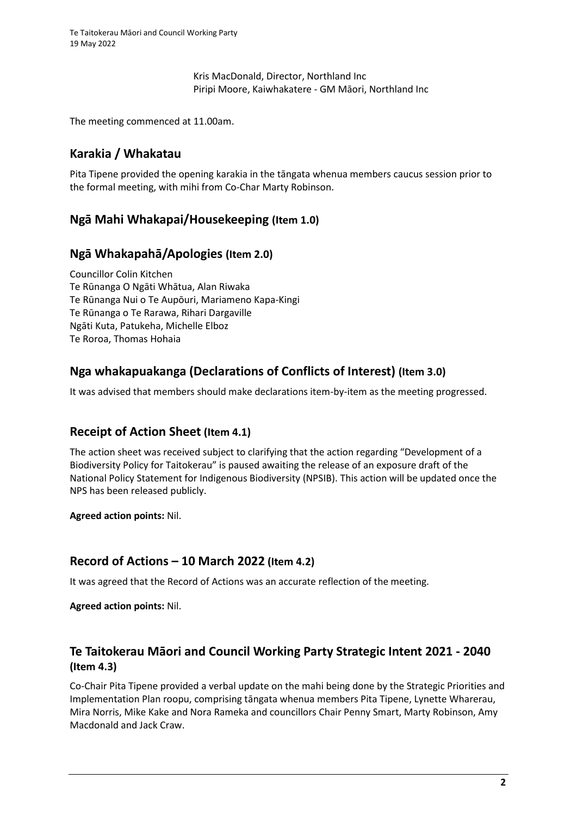Kris MacDonald, Director, Northland Inc Piripi Moore, Kaiwhakatere - GM Māori, Northland Inc

The meeting commenced at 11.00am.

## **Karakia / Whakatau**

Pita Tipene provided the opening karakia in the tāngata whenua members caucus session prior to the formal meeting, with mihi from Co-Char Marty Robinson.

## **Ngā Mahi Whakapai/Housekeeping (Item 1.0)**

### **Ngā Whakapahā/Apologies (Item 2.0)**

Councillor Colin Kitchen Te Rūnanga O Ngāti Whātua, Alan Riwaka Te Rūnanga Nui o Te Aupōuri, Mariameno Kapa-Kingi Te Rūnanga o Te Rarawa, Rihari Dargaville Ngāti Kuta, Patukeha, Michelle Elboz Te Roroa, Thomas Hohaia

## **Nga whakapuakanga (Declarations of Conflicts of Interest) (Item 3.0)**

It was advised that members should make declarations item-by-item as the meeting progressed.

### **Receipt of Action Sheet (Item 4.1)**

The action sheet was received subject to clarifying that the action regarding "Development of a Biodiversity Policy for Taitokerau" is paused awaiting the release of an exposure draft of the National Policy Statement for Indigenous Biodiversity (NPSIB). This action will be updated once the NPS has been released publicly.

**Agreed action points:** Nil.

### **Record of Actions – 10 March 2022 (Item 4.2)**

It was agreed that the Record of Actions was an accurate reflection of the meeting.

**Agreed action points:** Nil.

## **Te Taitokerau Māori and Council Working Party Strategic Intent 2021 - 2040 (Item 4.3)**

Co-Chair Pita Tipene provided a verbal update on the mahi being done by the Strategic Priorities and Implementation Plan roopu, comprising tāngata whenua members Pita Tipene, Lynette Wharerau, Mira Norris, Mike Kake and Nora Rameka and councillors Chair Penny Smart, Marty Robinson, Amy Macdonald and Jack Craw.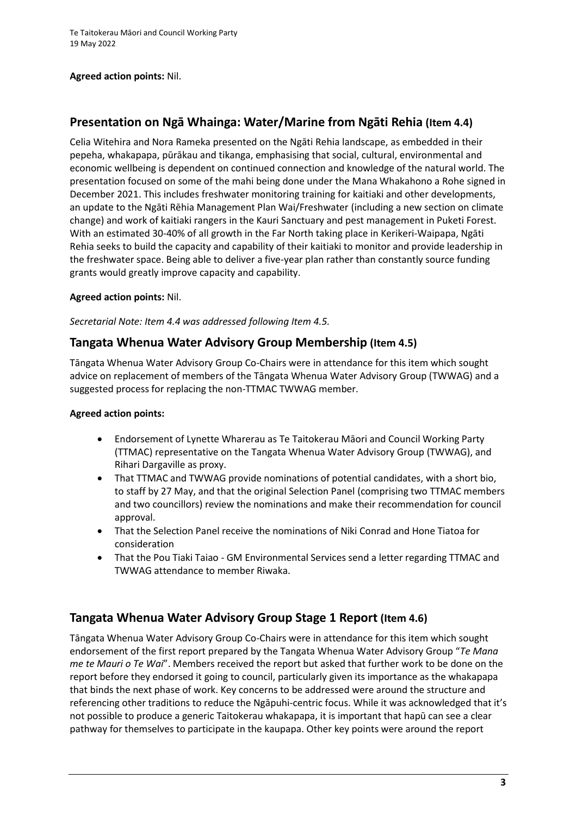#### **Agreed action points:** Nil.

## **Presentation on Ngā Whainga: Water/Marine from Ngāti Rehia (Item 4.4)**

Celia Witehira and Nora Rameka presented on the Ngāti Rehia landscape, as embedded in their pepeha, whakapapa, pūrākau and tikanga, emphasising that social, cultural, environmental and economic wellbeing is dependent on continued connection and knowledge of the natural world. The presentation focused on some of the mahi being done under the Mana Whakahono a Rohe signed in December 2021. This includes freshwater monitoring training for kaitiaki and other developments, an update to the Ngāti Rēhia Management Plan Wai/Freshwater (including a new section on climate change) and work of kaitiaki rangers in the Kauri Sanctuary and pest management in Puketi Forest. With an estimated 30-40% of all growth in the Far North taking place in Kerikeri-Waipapa, Ngāti Rehia seeks to build the capacity and capability of their kaitiaki to monitor and provide leadership in the freshwater space. Being able to deliver a five-year plan rather than constantly source funding grants would greatly improve capacity and capability.

### **Agreed action points:** Nil.

*Secretarial Note: Item 4.4 was addressed following Item 4.5.*

### **Tangata Whenua Water Advisory Group Membership (Item 4.5)**

Tāngata Whenua Water Advisory Group Co-Chairs were in attendance for this item which sought advice on replacement of members of the Tāngata Whenua Water Advisory Group (TWWAG) and a suggested process for replacing the non-TTMAC TWWAG member.

#### **Agreed action points:**

- Endorsement of Lynette Wharerau as Te Taitokerau Māori and Council Working Party (TTMAC) representative on the Tangata Whenua Water Advisory Group (TWWAG), and Rihari Dargaville as proxy.
- That TTMAC and TWWAG provide nominations of potential candidates, with a short bio, to staff by 27 May, and that the original Selection Panel (comprising two TTMAC members and two councillors) review the nominations and make their recommendation for council approval.
- That the Selection Panel receive the nominations of Niki Conrad and Hone Tiatoa for consideration
- That the Pou Tiaki Taiao GM Environmental Services send a letter regarding TTMAC and TWWAG attendance to member Riwaka.

### **Tangata Whenua Water Advisory Group Stage 1 Report (Item 4.6)**

Tāngata Whenua Water Advisory Group Co-Chairs were in attendance for this item which sought endorsement of the first report prepared by the Tangata Whenua Water Advisory Group "*Te Mana me te Mauri o Te Wai*". Members received the report but asked that further work to be done on the report before they endorsed it going to council, particularly given its importance as the whakapapa that binds the next phase of work. Key concerns to be addressed were around the structure and referencing other traditions to reduce the Ngāpuhi-centric focus. While it was acknowledged that it's not possible to produce a generic Taitokerau whakapapa, it is important that hapū can see a clear pathway for themselves to participate in the kaupapa. Other key points were around the report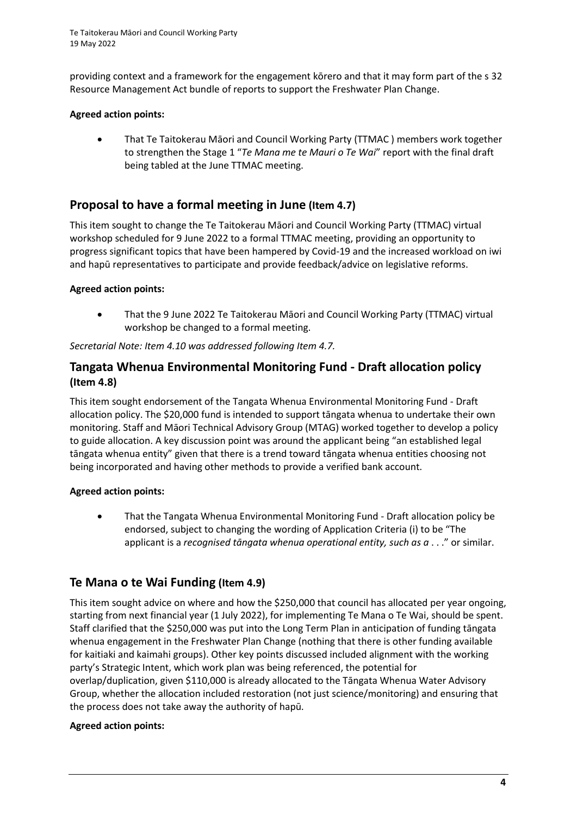providing context and a framework for the engagement kōrero and that it may form part of the s 32 Resource Management Act bundle of reports to support the Freshwater Plan Change.

### **Agreed action points:**

• That Te Taitokerau Māori and Council Working Party (TTMAC ) members work together to strengthen the Stage 1 "*Te Mana me te Mauri o Te Wai*" report with the final draft being tabled at the June TTMAC meeting.

## **Proposal to have a formal meeting in June (Item 4.7)**

This item sought to change the Te Taitokerau Māori and Council Working Party (TTMAC) virtual workshop scheduled for 9 June 2022 to a formal TTMAC meeting, providing an opportunity to progress significant topics that have been hampered by Covid-19 and the increased workload on iwi and hapū representatives to participate and provide feedback/advice on legislative reforms.

### **Agreed action points:**

• That the 9 June 2022 Te Taitokerau Māori and Council Working Party (TTMAC) virtual workshop be changed to a formal meeting.

*Secretarial Note: Item 4.10 was addressed following Item 4.7.*

### **Tangata Whenua Environmental Monitoring Fund - Draft allocation policy (Item 4.8)**

This item sought endorsement of the Tangata Whenua Environmental Monitoring Fund - Draft allocation policy. The \$20,000 fund is intended to support tāngata whenua to undertake their own monitoring. Staff and Māori Technical Advisory Group (MTAG) worked together to develop a policy to guide allocation. A key discussion point was around the applicant being "an established legal tāngata whenua entity" given that there is a trend toward tāngata whenua entities choosing not being incorporated and having other methods to provide a verified bank account.

### **Agreed action points:**

• That the Tangata Whenua Environmental Monitoring Fund - Draft allocation policy be endorsed, subject to changing the wording of Application Criteria (i) to be "The applicant is a *recognised tāngata whenua operational entity, such as a* . . ." or similar.

## **Te Mana o te Wai Funding (Item 4.9)**

This item sought advice on where and how the \$250,000 that council has allocated per year ongoing, starting from next financial year (1 July 2022), for implementing Te Mana o Te Wai, should be spent. Staff clarified that the \$250,000 was put into the Long Term Plan in anticipation of funding tāngata whenua engagement in the Freshwater Plan Change (nothing that there is other funding available for kaitiaki and kaimahi groups). Other key points discussed included alignment with the working party's Strategic Intent, which work plan was being referenced, the potential for overlap/duplication, given \$110,000 is already allocated to the Tāngata Whenua Water Advisory Group, whether the allocation included restoration (not just science/monitoring) and ensuring that the process does not take away the authority of hapū.

### **Agreed action points:**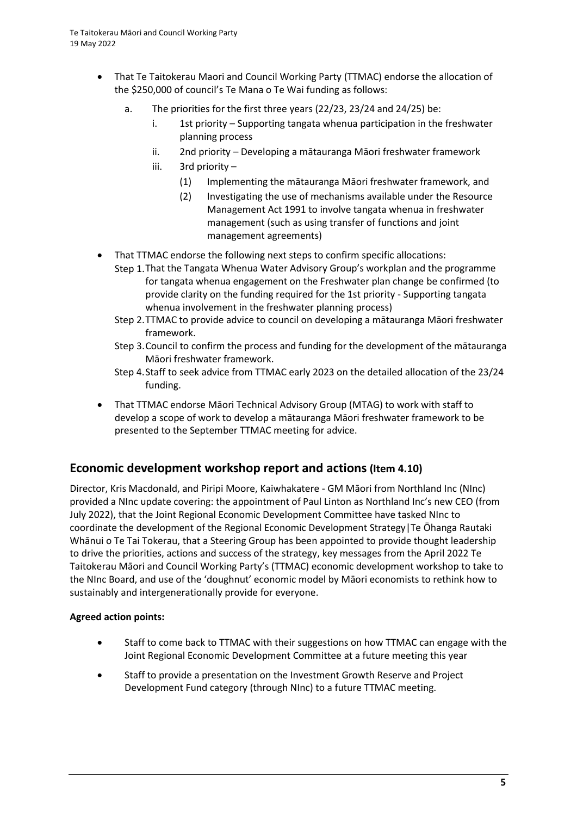- That Te Taitokerau Maori and Council Working Party (TTMAC) endorse the allocation of the \$250,000 of council's Te Mana o Te Wai funding as follows:
	- a. The priorities for the first three years (22/23, 23/24 and 24/25) be:
		- i. 1st priority Supporting tangata whenua participation in the freshwater planning process
		- ii. 2nd priority Developing a mātauranga Māori freshwater framework
		- iii. 3rd priority
			- (1) Implementing the mātauranga Māori freshwater framework, and
			- (2) Investigating the use of mechanisms available under the Resource Management Act 1991 to involve tangata whenua in freshwater management (such as using transfer of functions and joint management agreements)
- That TTMAC endorse the following next steps to confirm specific allocations:
	- Step 1.That the Tangata Whenua Water Advisory Group's workplan and the programme for tangata whenua engagement on the Freshwater plan change be confirmed (to provide clarity on the funding required for the 1st priority - Supporting tangata whenua involvement in the freshwater planning process)
	- Step 2.TTMAC to provide advice to council on developing a mātauranga Māori freshwater framework.
	- Step 3.Council to confirm the process and funding for the development of the mātauranga Māori freshwater framework.
	- Step 4.Staff to seek advice from TTMAC early 2023 on the detailed allocation of the 23/24 funding.
- That TTMAC endorse Māori Technical Advisory Group (MTAG) to work with staff to develop a scope of work to develop a mātauranga Māori freshwater framework to be presented to the September TTMAC meeting for advice.

### **Economic development workshop report and actions (Item 4.10)**

Director, Kris Macdonald, and Piripi Moore, Kaiwhakatere - GM Māori from Northland Inc (NInc) provided a NInc update covering: the appointment of Paul Linton as Northland Inc's new CEO (from July 2022), that the Joint Regional Economic Development Committee have tasked NInc to coordinate the development of the Regional Economic Development Strategy|Te Ōhanga Rautaki Whānui o Te Tai Tokerau, that a Steering Group has been appointed to provide thought leadership to drive the priorities, actions and success of the strategy, key messages from the April 2022 Te Taitokerau Māori and Council Working Party's (TTMAC) economic development workshop to take to the NInc Board, and use of the 'doughnut' economic model by Māori economists to rethink how to sustainably and intergenerationally provide for everyone.

### **Agreed action points:**

- Staff to come back to TTMAC with their suggestions on how TTMAC can engage with the Joint Regional Economic Development Committee at a future meeting this year
- Staff to provide a presentation on the Investment Growth Reserve and Project Development Fund category (through NInc) to a future TTMAC meeting.